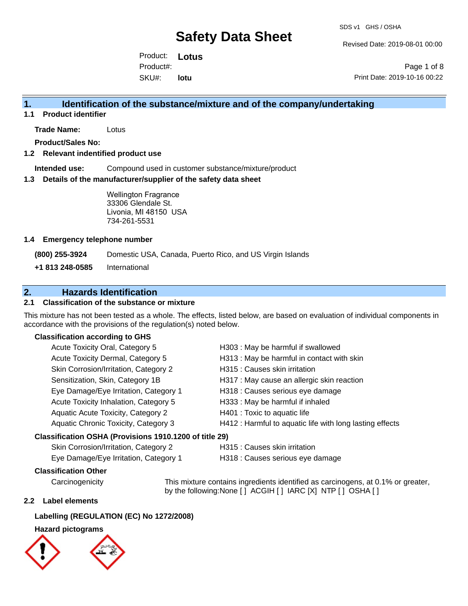SDS v1 GHS / OSHA

Revised Date: 2019-08-01 00:00

Product: **Lotus**  SKU#: Product#: **lotu**

Page 1 of 8 Print Date: 2019-10-16 00:22

# **1. Identification of the substance/mixture and of the company/undertaking**

**1.1 Product identifier**

**Trade Name:** Lotus

**Product/Sales No:**

#### **1.2 Relevant indentified product use**

**Intended use:** Compound used in customer substance/mixture/product

#### **1.3 Details of the manufacturer/supplier of the safety data sheet**

Wellington Fragrance 33306 Glendale St. Livonia, MI 48150 USA 734-261-5531

#### **1.4 Emergency telephone number**

**(800) 255-3924** Domestic USA, Canada, Puerto Rico, and US Virgin Islands

**+1 813 248-0585** International

# **2. Hazards Identification**

## **2.1 Classification of the substance or mixture**

This mixture has not been tested as a whole. The effects, listed below, are based on evaluation of individual components in accordance with the provisions of the regulation(s) noted below.

### **Classification according to GHS**

| Acute Toxicity Oral, Category 5                        | H303 : May be harmful if swallowed                       |
|--------------------------------------------------------|----------------------------------------------------------|
| Acute Toxicity Dermal, Category 5                      | H313 : May be harmful in contact with skin               |
| Skin Corrosion/Irritation, Category 2                  | H315 : Causes skin irritation                            |
| Sensitization, Skin, Category 1B                       | H317 : May cause an allergic skin reaction               |
| Eye Damage/Eye Irritation, Category 1                  | H318 : Causes serious eye damage                         |
| Acute Toxicity Inhalation, Category 5                  | H333: May be harmful if inhaled                          |
| Aquatic Acute Toxicity, Category 2                     | H401 : Toxic to aquatic life                             |
| Aquatic Chronic Toxicity, Category 3                   | H412 : Harmful to aquatic life with long lasting effects |
| Classification OSHA (Provisions 1910.1200 of title 29) |                                                          |
| Skin Corrosion/Irritation, Category 2                  | H315 : Causes skin irritation                            |

Eye Damage/Eye Irritation, Category 1 H318 : Causes serious eye damage

#### **Classification Other**

Carcinogenicity This mixture contains ingredients identified as carcinogens, at 0.1% or greater, by the following:None [ ] ACGIH [ ] IARC [X] NTP [ ] OSHA [ ]

#### **2.2 Label elements**

### **Labelling (REGULATION (EC) No 1272/2008)**

## **Hazard pictograms**

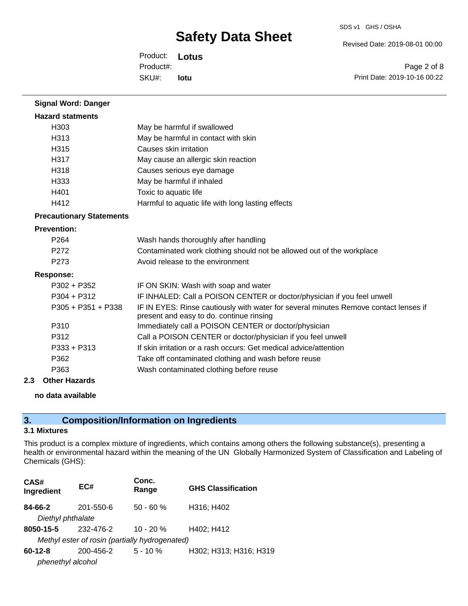SDS v1 GHS / OSHA

Revised Date: 2019-08-01 00:00

Product: **Lotus**  SKU#: Product#: **lotu**

Page 2 of 8 Print Date: 2019-10-16 00:22

| <b>Signal Word: Danger</b>      |                                                                                                                                  |
|---------------------------------|----------------------------------------------------------------------------------------------------------------------------------|
| <b>Hazard statments</b>         |                                                                                                                                  |
| H <sub>303</sub>                | May be harmful if swallowed                                                                                                      |
| H313                            | May be harmful in contact with skin                                                                                              |
| H315                            | Causes skin irritation                                                                                                           |
| H317                            | May cause an allergic skin reaction                                                                                              |
| H318                            | Causes serious eye damage                                                                                                        |
| H333                            | May be harmful if inhaled                                                                                                        |
| H401                            | Toxic to aquatic life                                                                                                            |
| H412                            | Harmful to aquatic life with long lasting effects                                                                                |
| <b>Precautionary Statements</b> |                                                                                                                                  |
| <b>Prevention:</b>              |                                                                                                                                  |
| P <sub>264</sub>                | Wash hands thoroughly after handling                                                                                             |
| P272                            | Contaminated work clothing should not be allowed out of the workplace                                                            |
| P <sub>273</sub>                | Avoid release to the environment                                                                                                 |
| <b>Response:</b>                |                                                                                                                                  |
| $P302 + P352$                   | IF ON SKIN: Wash with soap and water                                                                                             |
| $P304 + P312$                   | IF INHALED: Call a POISON CENTER or doctor/physician if you feel unwell                                                          |
| $P305 + P351 + P338$            | IF IN EYES: Rinse cautiously with water for several minutes Remove contact lenses if<br>present and easy to do. continue rinsing |
| P310                            | Immediately call a POISON CENTER or doctor/physician                                                                             |
| P312                            | Call a POISON CENTER or doctor/physician if you feel unwell                                                                      |
| P333 + P313                     | If skin irritation or a rash occurs: Get medical advice/attention                                                                |
| P362                            | Take off contaminated clothing and wash before reuse                                                                             |
| P363                            | Wash contaminated clothing before reuse                                                                                          |
|                                 |                                                                                                                                  |

## **2.3 Other Hazards**

## **no data available**

# **3. Composition/Information on Ingredients**

## **3.1 Mixtures**

This product is a complex mixture of ingredients, which contains among others the following substance(s), presenting a health or environmental hazard within the meaning of the UN Globally Harmonized System of Classification and Labeling of Chemicals (GHS):

| CAS#<br>Ingredient                             | EC#       | Conc.<br>Range | <b>GHS Classification</b> |  |
|------------------------------------------------|-----------|----------------|---------------------------|--|
| 84-66-2                                        | 201-550-6 | $50 - 60 %$    | H316; H402                |  |
| Diethyl phthalate                              |           |                |                           |  |
| 8050-15-5                                      | 232-476-2 | $10 - 20 \%$   | H402: H412                |  |
| Methyl ester of rosin (partially hydrogenated) |           |                |                           |  |
| $60 - 12 - 8$                                  | 200-456-2 | $5 - 10 \%$    | H302; H313; H316; H319    |  |
| phenethyl alcohol                              |           |                |                           |  |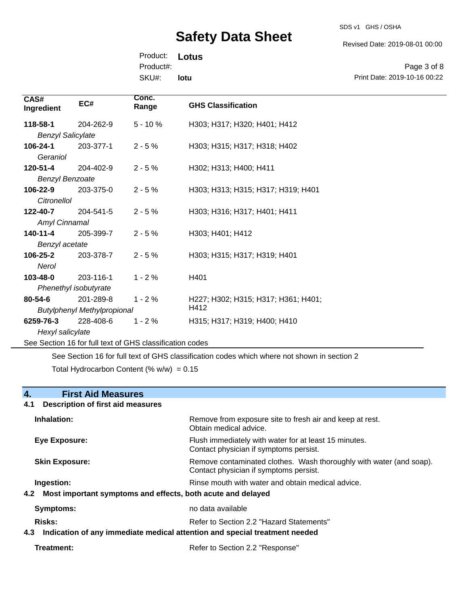SDS v1 GHS / OSHA

Revised Date: 2019-08-01 00:00

Product: **Lotus**  SKU#: Product#: **lotu**

Page 3 of 8 Print Date: 2019-10-16 00:22

| CAS#<br>Ingredient       | EC#                                                      | Conc.<br>Range | <b>GHS Classification</b>           |  |
|--------------------------|----------------------------------------------------------|----------------|-------------------------------------|--|
| 118-58-1                 | 204-262-9                                                | $5 - 10%$      | H303; H317; H320; H401; H412        |  |
| <b>Benzyl Salicylate</b> |                                                          |                |                                     |  |
| 106-24-1                 | 203-377-1                                                | $2 - 5%$       | H303; H315; H317; H318; H402        |  |
| Geraniol                 |                                                          |                |                                     |  |
| 120-51-4                 | 204-402-9                                                | $2 - 5%$       | H302; H313; H400; H411              |  |
| <b>Benzyl Benzoate</b>   |                                                          |                |                                     |  |
| 106-22-9                 | 203-375-0                                                | $2 - 5%$       | H303; H313; H315; H317; H319; H401  |  |
| Citronellol              |                                                          |                |                                     |  |
| 122-40-7                 | 204-541-5                                                | $2 - 5%$       | H303; H316; H317; H401; H411        |  |
| Amyl Cinnamal            |                                                          |                |                                     |  |
| 140-11-4                 | 205-399-7                                                | $2 - 5%$       | H303; H401; H412                    |  |
| Benzyl acetate           |                                                          |                |                                     |  |
| 106-25-2                 | 203-378-7                                                | $2 - 5%$       | H303; H315; H317; H319; H401        |  |
| Nerol                    |                                                          |                |                                     |  |
| 103-48-0                 | 203-116-1                                                | $1 - 2%$       | H401                                |  |
| Phenethyl isobutyrate    |                                                          |                |                                     |  |
| 80-54-6                  | 201-289-8                                                | $1 - 2%$       | H227; H302; H315; H317; H361; H401; |  |
|                          | <b>Butylphenyl Methylpropional</b>                       |                | H412                                |  |
| 6259-76-3                | 228-408-6                                                | $1 - 2%$       | H315; H317; H319; H400; H410        |  |
| Hexyl salicylate         |                                                          |                |                                     |  |
|                          | See Section 16 for full text of GHS classification codes |                |                                     |  |

See Section 16 for full text of GHS classification codes which where not shown in section 2 Total Hydrocarbon Content (%  $w/w$ ) = 0.15

# **4. First Aid Measures**

## **4.1 Description of first aid measures**

| Inhalation:                                                                       | Remove from exposure site to fresh air and keep at rest.<br>Obtain medical advice.                            |
|-----------------------------------------------------------------------------------|---------------------------------------------------------------------------------------------------------------|
| Eye Exposure:                                                                     | Flush immediately with water for at least 15 minutes.<br>Contact physician if symptoms persist.               |
| <b>Skin Exposure:</b>                                                             | Remove contaminated clothes. Wash thoroughly with water (and soap).<br>Contact physician if symptoms persist. |
| Ingestion:                                                                        | Rinse mouth with water and obtain medical advice.                                                             |
| Most important symptoms and effects, both acute and delayed<br>4.2                |                                                                                                               |
| <b>Symptoms:</b>                                                                  | no data available                                                                                             |
| Risks:                                                                            | Refer to Section 2.2 "Hazard Statements"                                                                      |
| Indication of any immediate medical attention and special treatment needed<br>4.3 |                                                                                                               |
|                                                                                   |                                                                                                               |

```
Treatment: Refer to Section 2.2 "Response"
```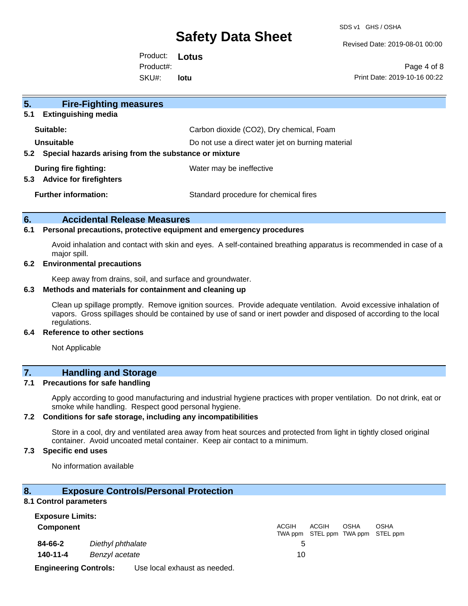SDS v1 GHS / OSHA

Revised Date: 2019-08-01 00:00

Product: **Lotus**  SKU#: Product#: **lotu**

Page 4 of 8 Print Date: 2019-10-16 00:22

| 5 <sub>1</sub><br><b>Fire-Fighting measures</b>                |                                                   |
|----------------------------------------------------------------|---------------------------------------------------|
| <b>Extinguishing media</b><br>5.1                              |                                                   |
| Suitable:                                                      | Carbon dioxide (CO2), Dry chemical, Foam          |
| Unsuitable                                                     | Do not use a direct water jet on burning material |
| Special hazards arising from the substance or mixture<br>5.2   |                                                   |
| During fire fighting:<br><b>Advice for firefighters</b><br>5.3 | Water may be ineffective                          |
| <b>Further information:</b>                                    | Standard procedure for chemical fires             |

## **6. Accidental Release Measures**

#### **6.1 Personal precautions, protective equipment and emergency procedures**

Avoid inhalation and contact with skin and eyes. A self-contained breathing apparatus is recommended in case of a major spill.

#### **6.2 Environmental precautions**

Keep away from drains, soil, and surface and groundwater.

### **6.3 Methods and materials for containment and cleaning up**

Clean up spillage promptly. Remove ignition sources. Provide adequate ventilation. Avoid excessive inhalation of vapors. Gross spillages should be contained by use of sand or inert powder and disposed of according to the local regulations.

## **6.4 Reference to other sections**

Not Applicable

# **7. Handling and Storage**

### **7.1 Precautions for safe handling**

Apply according to good manufacturing and industrial hygiene practices with proper ventilation. Do not drink, eat or smoke while handling. Respect good personal hygiene.

## **7.2 Conditions for safe storage, including any incompatibilities**

Store in a cool, dry and ventilated area away from heat sources and protected from light in tightly closed original container. Avoid uncoated metal container. Keep air contact to a minimum.

## **7.3 Specific end uses**

No information available

### **8. Exposure Controls/Personal Protection**

#### **8.1 Control parameters**

| <b>Exposure Limits:</b>      |                   |                              |              |              |             |                                                  |  |
|------------------------------|-------------------|------------------------------|--------------|--------------|-------------|--------------------------------------------------|--|
| <b>Component</b>             |                   |                              | <b>ACGIH</b> | <b>ACGIH</b> | <b>OSHA</b> | <b>OSHA</b><br>TWA ppm STEL ppm TWA ppm STEL ppm |  |
| 84-66-2                      | Diethyl phthalate |                              |              |              |             |                                                  |  |
| 140-11-4                     | Benzyl acetate    |                              | 10           |              |             |                                                  |  |
| <b>Engineering Controls:</b> |                   | Use local exhaust as needed. |              |              |             |                                                  |  |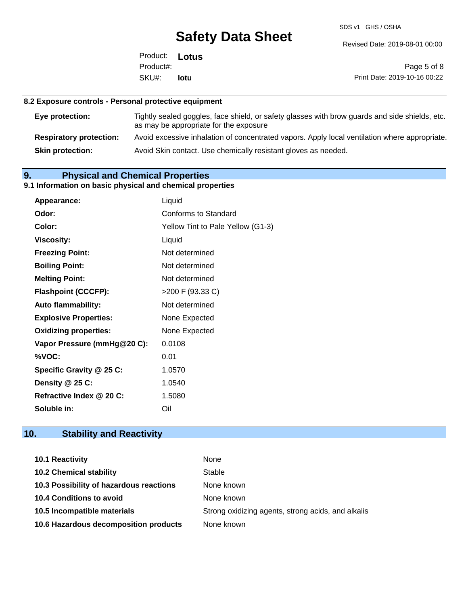SDS v1 GHS / OSHA

Revised Date: 2019-08-01 00:00

Product: **Lotus**  SKU#: Product#: **lotu**

Page 5 of 8 Print Date: 2019-10-16 00:22

## **8.2 Exposure controls - Personal protective equipment**

| Eye protection:                | Tightly sealed goggles, face shield, or safety glasses with brow guards and side shields, etc.<br>as may be appropriate for the exposure |
|--------------------------------|------------------------------------------------------------------------------------------------------------------------------------------|
| <b>Respiratory protection:</b> | Avoid excessive inhalation of concentrated vapors. Apply local ventilation where appropriate.                                            |
| <b>Skin protection:</b>        | Avoid Skin contact. Use chemically resistant gloves as needed.                                                                           |

# **9. Physical and Chemical Properties**

# **9.1 Information on basic physical and chemical properties**

| Appearance:                  | Liquid                            |
|------------------------------|-----------------------------------|
| Odor:                        | Conforms to Standard              |
| Color:                       | Yellow Tint to Pale Yellow (G1-3) |
| <b>Viscosity:</b>            | Liquid                            |
| <b>Freezing Point:</b>       | Not determined                    |
| <b>Boiling Point:</b>        | Not determined                    |
| <b>Melting Point:</b>        | Not determined                    |
| <b>Flashpoint (CCCFP):</b>   | >200 F (93.33 C)                  |
| <b>Auto flammability:</b>    | Not determined                    |
| <b>Explosive Properties:</b> | None Expected                     |
| <b>Oxidizing properties:</b> | None Expected                     |
| Vapor Pressure (mmHg@20 C):  | 0.0108                            |
| %VOC:                        | 0.01                              |
| Specific Gravity @ 25 C:     | 1.0570                            |
| Density @ 25 C:              | 1.0540                            |
| Refractive Index @ 20 C:     | 1.5080                            |
| Soluble in:                  | Oil                               |

# **10. Stability and Reactivity**

| 10.1 Reactivity                         | None                                               |
|-----------------------------------------|----------------------------------------------------|
| <b>10.2 Chemical stability</b>          | Stable                                             |
| 10.3 Possibility of hazardous reactions | None known                                         |
| <b>10.4 Conditions to avoid</b>         | None known                                         |
| 10.5 Incompatible materials             | Strong oxidizing agents, strong acids, and alkalis |
| 10.6 Hazardous decomposition products   | None known                                         |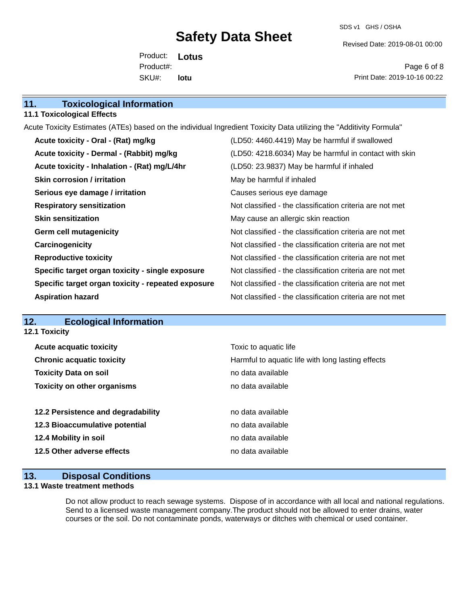SDS v1 GHS / OSHA

Revised Date: 2019-08-01 00:00

Product: **Lotus**  SKU#: Product#: **lotu**

Page 6 of 8 Print Date: 2019-10-16 00:22

| <b>11.1 Toxicological Effects</b>                                                    |                                                                                                                     |  |
|--------------------------------------------------------------------------------------|---------------------------------------------------------------------------------------------------------------------|--|
|                                                                                      | Acute Toxicity Estimates (ATEs) based on the individual Ingredient Toxicity Data utilizing the "Additivity Formula" |  |
| Acute toxicity - Oral - (Rat) mg/kg<br>(LD50: 4460.4419) May be harmful if swallowed |                                                                                                                     |  |
| Acute toxicity - Dermal - (Rabbit) mg/kg                                             | (LD50: 4218.6034) May be harmful in contact with skin                                                               |  |
| Acute toxicity - Inhalation - (Rat) mg/L/4hr                                         | (LD50: 23.9837) May be harmful if inhaled                                                                           |  |
| <b>Skin corrosion / irritation</b>                                                   | May be harmful if inhaled                                                                                           |  |
| Serious eye damage / irritation                                                      | Causes serious eye damage                                                                                           |  |
| <b>Respiratory sensitization</b>                                                     | Not classified - the classification criteria are not met                                                            |  |
| Skin concitization                                                                   | May cause an allergic skin reaction                                                                                 |  |

**Respiration** criteria are not met **Skin sensitization** May cause an allergic skin reaction **Germ cell mutagenicity Not classified - the classification criteria are not met Carcinogenicity Carcinogenicity Not classified - the classification criteria are not met Reproductive toxicity** Not classified - the classification criteria are not met **Specific target organ toxicity - single exposure** Not classified - the classification criteria are not met **Specific target organ toxicity - repeated exposure** Not classified - the classification criteria are not met **Aspiration hazard Not classified - the classification criteria are not met** 

## **12. Ecological Information**

**12.1 Toxicity**

**11. Toxicological Information** 

| <b>Acute acquatic toxicity</b>     | Toxic to aquatic life                             |
|------------------------------------|---------------------------------------------------|
| <b>Chronic acquatic toxicity</b>   | Harmful to aquatic life with long lasting effects |
| <b>Toxicity Data on soil</b>       | no data available                                 |
| <b>Toxicity on other organisms</b> | no data available                                 |
|                                    |                                                   |
| 12.2 Persistence and degradability | no data available                                 |
| 12.3 Bioaccumulative potential     | no data available                                 |
| 12.4 Mobility in soil              | no data available                                 |
| 12.5 Other adverse effects         | no data available                                 |
|                                    |                                                   |

### **13. Disposal Conditions**

### **13.1 Waste treatment methods**

Do not allow product to reach sewage systems. Dispose of in accordance with all local and national regulations. Send to a licensed waste management company.The product should not be allowed to enter drains, water courses or the soil. Do not contaminate ponds, waterways or ditches with chemical or used container.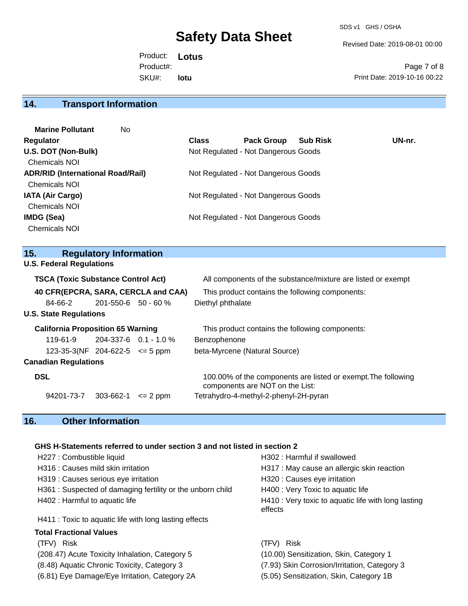SDS v1 GHS / OSHA

Revised Date: 2019-08-01 00:00

Product: **Lotus**  SKU#: Product#: **lotu**

Page 7 of 8 Print Date: 2019-10-16 00:22

# **14. Transport Information**

| <b>Marine Pollutant</b><br>No.           |              |                                     |                 |        |
|------------------------------------------|--------------|-------------------------------------|-----------------|--------|
| Regulator                                | <b>Class</b> | <b>Pack Group</b>                   | <b>Sub Risk</b> | UN-nr. |
| U.S. DOT (Non-Bulk)                      |              | Not Regulated - Not Dangerous Goods |                 |        |
| <b>Chemicals NOI</b>                     |              |                                     |                 |        |
| <b>ADR/RID (International Road/Rail)</b> |              | Not Regulated - Not Dangerous Goods |                 |        |
| <b>Chemicals NOI</b>                     |              |                                     |                 |        |
| <b>IATA (Air Cargo)</b>                  |              | Not Regulated - Not Dangerous Goods |                 |        |
| <b>Chemicals NOI</b>                     |              |                                     |                 |        |
| IMDG (Sea)                               |              | Not Regulated - Not Dangerous Goods |                 |        |
| <b>Chemicals NOI</b>                     |              |                                     |                 |        |
|                                          |              |                                     |                 |        |

# **15. Regulatory Information**

| <b>U.S. Federal Regulations</b> |  |
|---------------------------------|--|
|---------------------------------|--|

| <b>TSCA (Toxic Substance Control Act)</b> |                                          |                           | All components of the substance/mixture are listed or exempt |                                                                                                  |  |
|-------------------------------------------|------------------------------------------|---------------------------|--------------------------------------------------------------|--------------------------------------------------------------------------------------------------|--|
|                                           |                                          |                           | 40 CFR(EPCRA, SARA, CERCLA and CAA)                          | This product contains the following components:                                                  |  |
|                                           | 84-66-2                                  | $201 - 550 - 6$ 50 - 60 % |                                                              | Diethyl phthalate                                                                                |  |
|                                           | <b>U.S. State Regulations</b>            |                           |                                                              |                                                                                                  |  |
|                                           | <b>California Proposition 65 Warning</b> |                           |                                                              | This product contains the following components:                                                  |  |
|                                           | $119 - 61 - 9$                           |                           | $204-337-6$ 0.1 - 1.0 %                                      | Benzophenone                                                                                     |  |
|                                           | $123-35-3(NF 204-622-5 \le 5$ ppm        |                           |                                                              | beta-Myrcene (Natural Source)                                                                    |  |
|                                           | <b>Canadian Regulations</b>              |                           |                                                              |                                                                                                  |  |
| <b>DSL</b>                                |                                          |                           |                                                              | 100.00% of the components are listed or exempt. The following<br>components are NOT on the List: |  |
|                                           | 94201-73-7                               | 303-662-1                 | $\leq$ 2 ppm                                                 | Tetrahydro-4-methyl-2-phenyl-2H-pyran                                                            |  |

# **16. Other Information**

## **GHS H-Statements referred to under section 3 and not listed in section 2**

| H227 : Combustible liquid                                 | H302 : Harmful if swallowed                                    |
|-----------------------------------------------------------|----------------------------------------------------------------|
| H316 : Causes mild skin irritation                        | H317 : May cause an allergic skin reaction                     |
| H319 : Causes serious eye irritation                      | H320 : Causes eye irritation                                   |
| H361: Suspected of damaging fertility or the unborn child | H400 : Very Toxic to aquatic life                              |
| H402 : Harmful to aquatic life                            | H410 : Very toxic to aquatic life with long lasting<br>effects |
| H411 : Toxic to aquatic life with long lasting effects    |                                                                |
| <b>Total Fractional Values</b>                            |                                                                |
| (TFV) Risk                                                | (TFV) Risk                                                     |
| (208.47) Acute Toxicity Inhalation, Category 5            | (10.00) Sensitization, Skin, Category 1                        |
| (8.48) Aquatic Chronic Toxicity, Category 3               | (7.93) Skin Corrosion/Irritation, Category 3                   |

- (6.81) Eye Damage/Eye Irritation, Category 2A (5.05) Sensitization, Skin, Category 1B
-